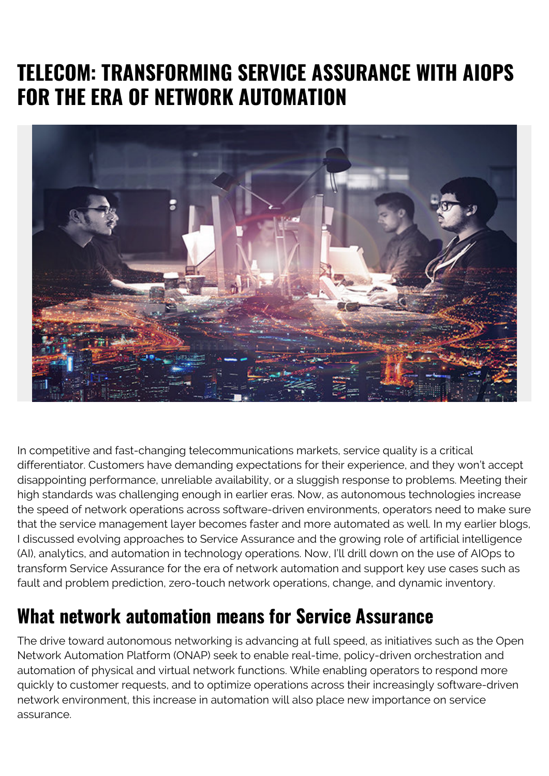# **TELECOM: TRANSFORMING SERVICE ASSURANCE WITH AIOPS FOR THE ERA OF NETWORK AUTOMATION**



In competitive and fast-changing telecommunications markets, service quality is a critical differentiator. Customers have demanding expectations for their experience, and they won't accept disappointing performance, unreliable availability, or a sluggish response to problems. Meeting their high standards was challenging enough in earlier eras. Now, as autonomous technologies increase the speed of network operations across software-driven environments, operators need to make sure that the service management layer becomes faster and more automated as well. In my earlier blogs, I discussed evolving approaches to Service Assurance and the growing role of artificial intelligence (AI), analytics, and automation in technology operations. Now, I'll drill down on the use of AIOps to transform Service Assurance for the era of network automation and support key use cases such as fault and problem prediction, zero-touch network operations, change, and dynamic inventory.

### **What network automation means for Service Assurance**

The drive toward autonomous networking is advancing at full speed, as initiatives such as the Open Network Automation Platform (ONAP) seek to enable real-time, policy-driven orchestration and automation of physical and virtual network functions. While enabling operators to respond more quickly to customer requests, and to optimize operations across their increasingly software-driven network environment, this increase in automation will also place new importance on service assurance.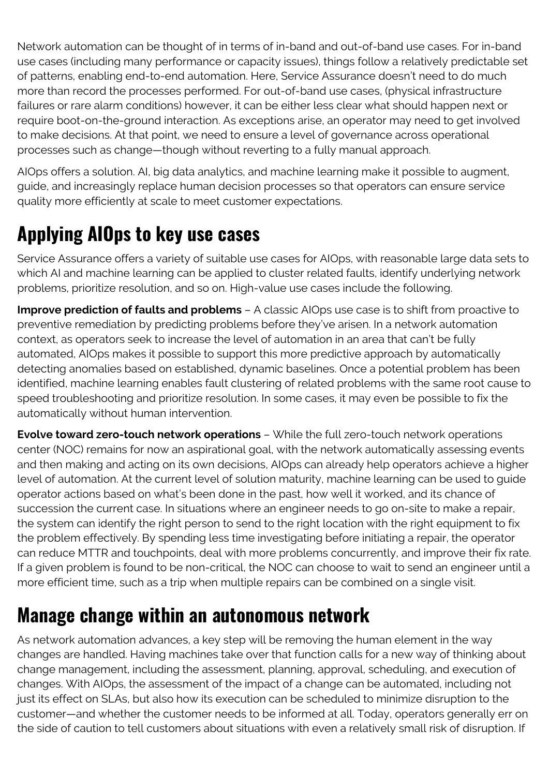Network automation can be thought of in terms of in-band and out-of-band use cases. For in-band use cases (including many performance or capacity issues), things follow a relatively predictable set of patterns, enabling end-to-end automation. Here, Service Assurance doesn't need to do much more than record the processes performed. For out-of-band use cases, (physical infrastructure failures or rare alarm conditions) however, it can be either less clear what should happen next or require boot-on-the-ground interaction. As exceptions arise, an operator may need to get involved to make decisions. At that point, we need to ensure a level of governance across operational processes such as change—though without reverting to a fully manual approach.

AIOps offers a solution. AI, big data analytics, and machine learning make it possible to augment, guide, and increasingly replace human decision processes so that operators can ensure service quality more efficiently at scale to meet customer expectations.

## **Applying AIOps to key use cases**

Service Assurance offers a variety of suitable use cases for AIOps, with reasonable large data sets to which AI and machine learning can be applied to cluster related faults, identify underlying network problems, prioritize resolution, and so on. High-value use cases include the following.

**Improve prediction of faults and problems** – A classic AIOps use case is to shift from proactive to preventive remediation by predicting problems before they've arisen. In a network automation context, as operators seek to increase the level of automation in an area that can't be fully automated, AIOps makes it possible to support this more predictive approach by automatically detecting anomalies based on established, dynamic baselines. Once a potential problem has been identified, machine learning enables fault clustering of related problems with the same root cause to speed troubleshooting and prioritize resolution. In some cases, it may even be possible to fix the automatically without human intervention.

**Evolve toward zero-touch network operations** – While the full zero-touch network operations center (NOC) remains for now an aspirational goal, with the network automatically assessing events and then making and acting on its own decisions, AIOps can already help operators achieve a higher level of automation. At the current level of solution maturity, machine learning can be used to guide operator actions based on what's been done in the past, how well it worked, and its chance of succession the current case. In situations where an engineer needs to go on-site to make a repair, the system can identify the right person to send to the right location with the right equipment to fix the problem effectively. By spending less time investigating before initiating a repair, the operator can reduce MTTR and touchpoints, deal with more problems concurrently, and improve their fix rate. If a given problem is found to be non-critical, the NOC can choose to wait to send an engineer until a more efficient time, such as a trip when multiple repairs can be combined on a single visit.

### **Manage change within an autonomous network**

As network automation advances, a key step will be removing the human element in the way changes are handled. Having machines take over that function calls for a new way of thinking about change management, including the assessment, planning, approval, scheduling, and execution of changes. With AIOps, the assessment of the impact of a change can be automated, including not just its effect on SLAs, but also how its execution can be scheduled to minimize disruption to the customer—and whether the customer needs to be informed at all. Today, operators generally err on the side of caution to tell customers about situations with even a relatively small risk of disruption. If